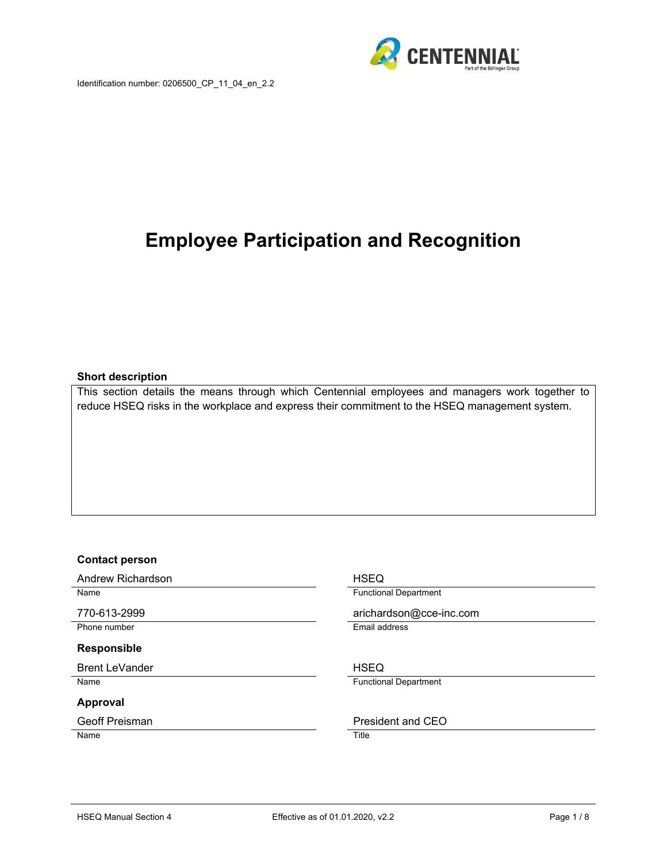

# **Employee Participation and Recognition**

#### **Short description**

This section details the means through which Centennial employees and managers work together to reduce HSEQ risks in the workplace and express their commitment to the HSEQ management system.

#### **Contact person**

Andrew Richardson **HSEQ** 

#### **Responsible**

Brent LeVander No. 2006 and the USEQ HSEQ

#### **Approval**

Name Title

Name **Functional Department** 

770-613-2999 arichardson@cce-inc.com Phone number **Email address** 

Name **Functional Department** 

#### Geoff Preisman **President** and CEO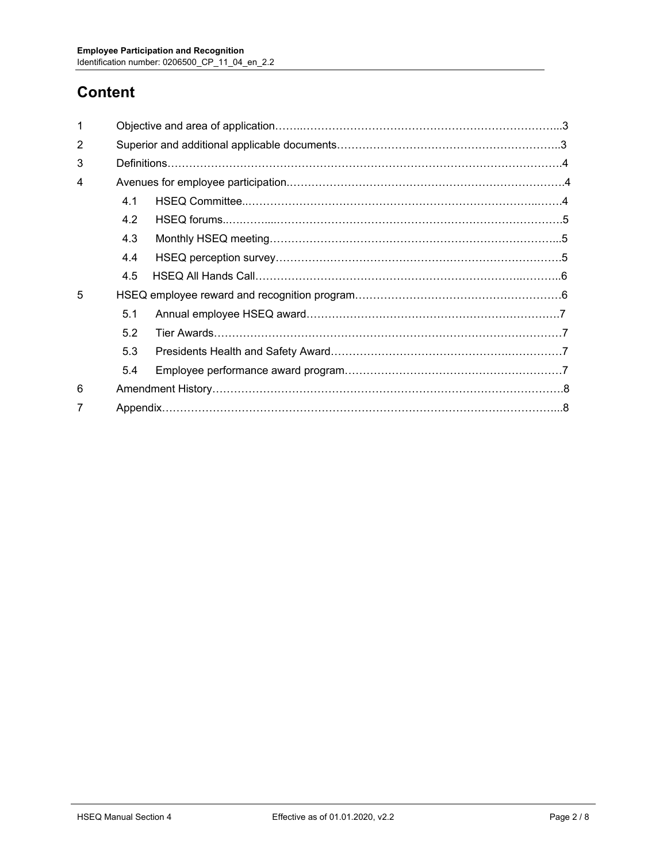# **Content**

| 1 |     |  |  |  |
|---|-----|--|--|--|
| 2 |     |  |  |  |
| 3 |     |  |  |  |
| 4 |     |  |  |  |
|   | 4.1 |  |  |  |
|   | 4.2 |  |  |  |
|   | 4.3 |  |  |  |
|   | 4.4 |  |  |  |
|   | 4.5 |  |  |  |
| 5 |     |  |  |  |
|   | 5.1 |  |  |  |
|   | 5.2 |  |  |  |
|   | 5.3 |  |  |  |
|   | 5.4 |  |  |  |
| 6 |     |  |  |  |
| 7 |     |  |  |  |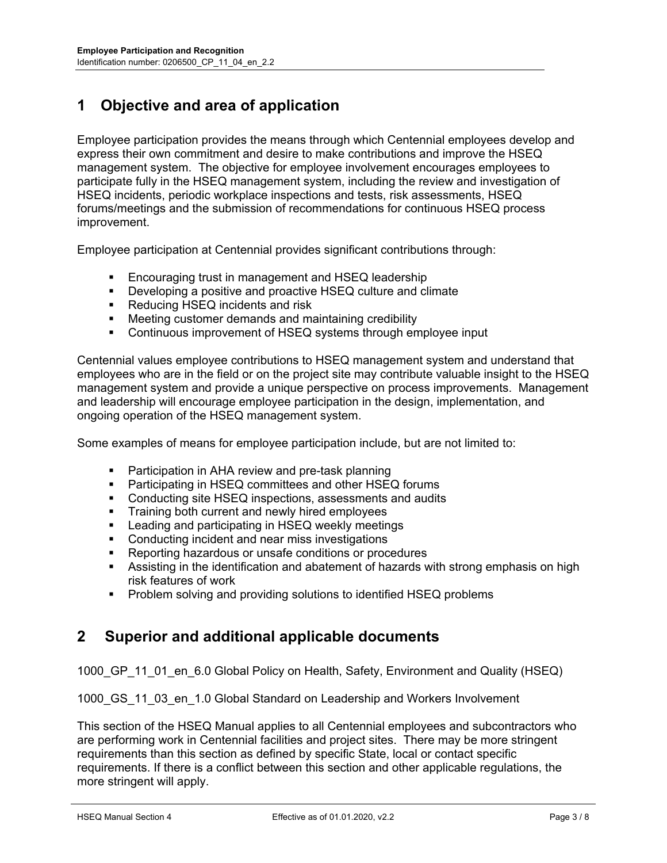# **1 Objective and area of application**

Employee participation provides the means through which Centennial employees develop and express their own commitment and desire to make contributions and improve the HSEQ management system. The objective for employee involvement encourages employees to participate fully in the HSEQ management system, including the review and investigation of HSEQ incidents, periodic workplace inspections and tests, risk assessments, HSEQ forums/meetings and the submission of recommendations for continuous HSEQ process improvement.

Employee participation at Centennial provides significant contributions through:

- **Encouraging trust in management and HSEQ leadership**
- **Developing a positive and proactive HSEQ culture and climate**
- **Reducing HSEQ incidents and risk**
- Meeting customer demands and maintaining credibility
- Continuous improvement of HSEQ systems through employee input

Centennial values employee contributions to HSEQ management system and understand that employees who are in the field or on the project site may contribute valuable insight to the HSEQ management system and provide a unique perspective on process improvements. Management and leadership will encourage employee participation in the design, implementation, and ongoing operation of the HSEQ management system.

Some examples of means for employee participation include, but are not limited to:

- **Participation in AHA review and pre-task planning**
- **•** Participating in HSEQ committees and other HSEQ forums
- Conducting site HSEQ inspections, assessments and audits
- **Training both current and newly hired employees**
- **EXEC** Leading and participating in HSEQ weekly meetings
- Conducting incident and near miss investigations
- Reporting hazardous or unsafe conditions or procedures
- Assisting in the identification and abatement of hazards with strong emphasis on high risk features of work
- **•** Problem solving and providing solutions to identified HSEQ problems

## **2 Superior and additional applicable documents**

1000 GP 11 01 en 6.0 Global Policy on Health, Safety, Environment and Quality (HSEQ)

1000 GS 11 03 en 1.0 Global Standard on Leadership and Workers Involvement

This section of the HSEQ Manual applies to all Centennial employees and subcontractors who are performing work in Centennial facilities and project sites. There may be more stringent requirements than this section as defined by specific State, local or contact specific requirements. If there is a conflict between this section and other applicable regulations, the more stringent will apply.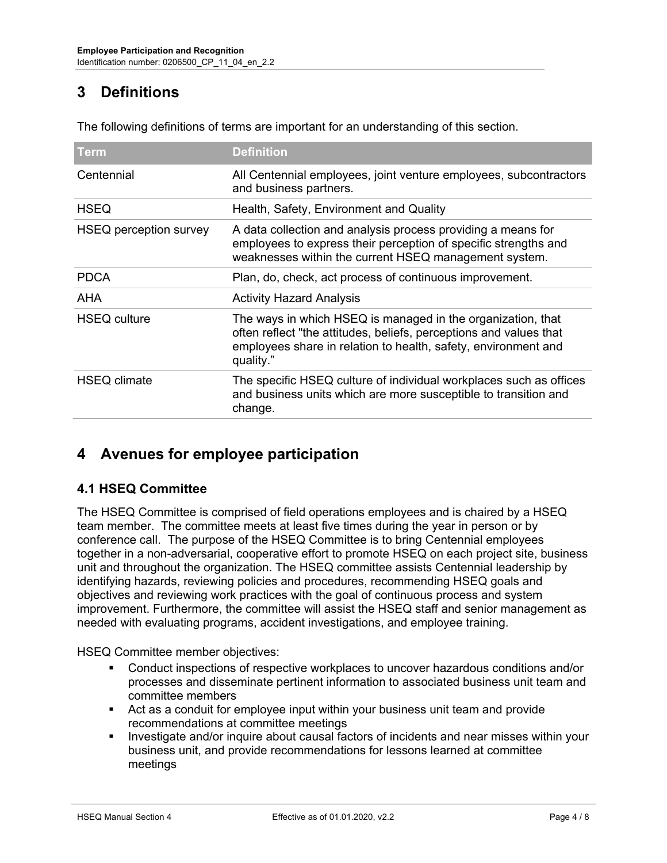# **3 Definitions**

| Term                   | <b>Definition</b>                                                                                                                                                                                                |  |  |
|------------------------|------------------------------------------------------------------------------------------------------------------------------------------------------------------------------------------------------------------|--|--|
| Centennial             | All Centennial employees, joint venture employees, subcontractors<br>and business partners.                                                                                                                      |  |  |
| <b>HSEQ</b>            | Health, Safety, Environment and Quality                                                                                                                                                                          |  |  |
| HSEQ perception survey | A data collection and analysis process providing a means for<br>employees to express their perception of specific strengths and<br>weaknesses within the current HSEQ management system.                         |  |  |
| <b>PDCA</b>            | Plan, do, check, act process of continuous improvement.                                                                                                                                                          |  |  |
| AHA                    | <b>Activity Hazard Analysis</b>                                                                                                                                                                                  |  |  |
| <b>HSEQ culture</b>    | The ways in which HSEQ is managed in the organization, that<br>often reflect "the attitudes, beliefs, perceptions and values that<br>employees share in relation to health, safety, environment and<br>quality." |  |  |
| <b>HSEQ climate</b>    | The specific HSEQ culture of individual workplaces such as offices<br>and business units which are more susceptible to transition and<br>change.                                                                 |  |  |

The following definitions of terms are important for an understanding of this section.

# **4 Avenues for employee participation**

## **4.1 HSEQ Committee**

The HSEQ Committee is comprised of field operations employees and is chaired by a HSEQ team member. The committee meets at least five times during the year in person or by conference call. The purpose of the HSEQ Committee is to bring Centennial employees together in a non-adversarial, cooperative effort to promote HSEQ on each project site, business unit and throughout the organization. The HSEQ committee assists Centennial leadership by identifying hazards, reviewing policies and procedures, recommending HSEQ goals and objectives and reviewing work practices with the goal of continuous process and system improvement. Furthermore, the committee will assist the HSEQ staff and senior management as needed with evaluating programs, accident investigations, and employee training.

HSEQ Committee member objectives:

- Conduct inspections of respective workplaces to uncover hazardous conditions and/or processes and disseminate pertinent information to associated business unit team and committee members
- Act as a conduit for employee input within your business unit team and provide recommendations at committee meetings
- Investigate and/or inquire about causal factors of incidents and near misses within your business unit, and provide recommendations for lessons learned at committee meetings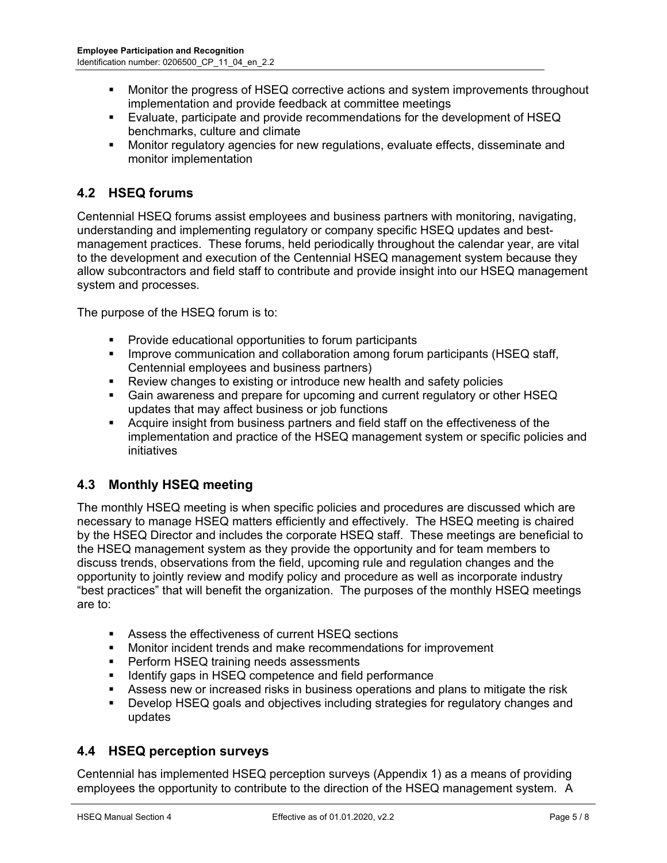- **Monitor the progress of HSEQ corrective actions and system improvements throughout** implementation and provide feedback at committee meetings
- Evaluate, participate and provide recommendations for the development of HSEQ benchmarks, culture and climate
- Monitor regulatory agencies for new regulations, evaluate effects, disseminate and monitor implementation

## **4.2 HSEQ forums**

Centennial HSEQ forums assist employees and business partners with monitoring, navigating, understanding and implementing regulatory or company specific HSEQ updates and bestmanagement practices. These forums, held periodically throughout the calendar year, are vital to the development and execution of the Centennial HSEQ management system because they allow subcontractors and field staff to contribute and provide insight into our HSEQ management system and processes.

The purpose of the HSEQ forum is to:

- **Provide educational opportunities to forum participants**
- **IMPROVE COMMUNICATION AND COLLAD CONDUCT AMOUR CONDUCT AND INCORDUCT INCORDING THE UPSE** Staff, Centennial employees and business partners)
- **EXECT:** Review changes to existing or introduce new health and safety policies
- Gain awareness and prepare for upcoming and current regulatory or other HSEQ updates that may affect business or job functions
- Acquire insight from business partners and field staff on the effectiveness of the implementation and practice of the HSEQ management system or specific policies and initiatives

## **4.3 Monthly HSEQ meeting**

The monthly HSEQ meeting is when specific policies and procedures are discussed which are necessary to manage HSEQ matters efficiently and effectively. The HSEQ meeting is chaired by the HSEQ Director and includes the corporate HSEQ staff. These meetings are beneficial to the HSEQ management system as they provide the opportunity and for team members to discuss trends, observations from the field, upcoming rule and regulation changes and the opportunity to jointly review and modify policy and procedure as well as incorporate industry "best practices" that will benefit the organization. The purposes of the monthly HSEQ meetings are to:

- **Assess the effectiveness of current HSEQ sections**
- Monitor incident trends and make recommendations for improvement
- **Perform HSEQ training needs assessments**
- **IDED** Identify gaps in HSEQ competence and field performance
- **Assess new or increased risks in business operations and plans to mitigate the risk**
- Develop HSEQ goals and objectives including strategies for regulatory changes and updates

## **4.4 HSEQ perception surveys**

Centennial has implemented HSEQ perception surveys (Appendix 1) as a means of providing employees the opportunity to contribute to the direction of the HSEQ management system. A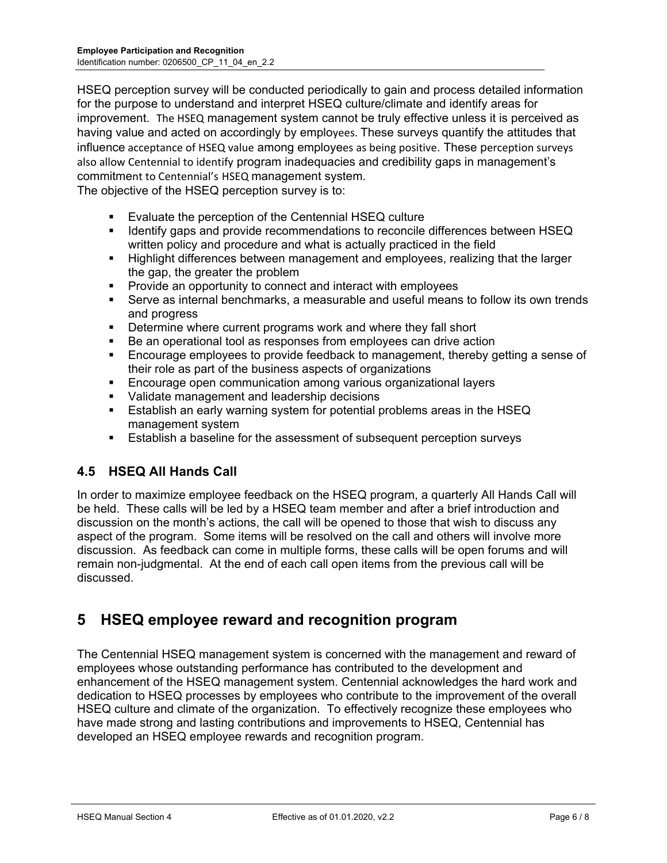HSEQ perception survey will be conducted periodically to gain and process detailed information for the purpose to understand and interpret HSEQ culture/climate and identify areas for improvement. The HSEQ management system cannot be truly effective unless it is perceived as having value and acted on accordingly by employees. These surveys quantify the attitudes that influence acceptance of HSEQ value among employees as being positive. These perception surveys also allow Centennial to identify program inadequacies and credibility gaps in management's commitment to Centennial's HSEQ management system.

The objective of the HSEQ perception survey is to:

- **Evaluate the perception of the Centennial HSEQ culture**
- Identify gaps and provide recommendations to reconcile differences between HSEQ written policy and procedure and what is actually practiced in the field
- Highlight differences between management and employees, realizing that the larger the gap, the greater the problem
- **Provide an opportunity to connect and interact with employees**
- Serve as internal benchmarks, a measurable and useful means to follow its own trends and progress
- **Determine where current programs work and where they fall short**
- Be an operational tool as responses from employees can drive action
- Encourage employees to provide feedback to management, thereby getting a sense of their role as part of the business aspects of organizations
- Encourage open communication among various organizational layers
- Validate management and leadership decisions
- Establish an early warning system for potential problems areas in the HSEQ management system
- Establish a baseline for the assessment of subsequent perception surveys

## **4.5 HSEQ All Hands Call**

In order to maximize employee feedback on the HSEQ program, a quarterly All Hands Call will be held. These calls will be led by a HSEQ team member and after a brief introduction and discussion on the month's actions, the call will be opened to those that wish to discuss any aspect of the program. Some items will be resolved on the call and others will involve more discussion. As feedback can come in multiple forms, these calls will be open forums and will remain non-judgmental. At the end of each call open items from the previous call will be discussed.

## **5 HSEQ employee reward and recognition program**

The Centennial HSEQ management system is concerned with the management and reward of employees whose outstanding performance has contributed to the development and enhancement of the HSEQ management system. Centennial acknowledges the hard work and dedication to HSEQ processes by employees who contribute to the improvement of the overall HSEQ culture and climate of the organization. To effectively recognize these employees who have made strong and lasting contributions and improvements to HSEQ, Centennial has developed an HSEQ employee rewards and recognition program.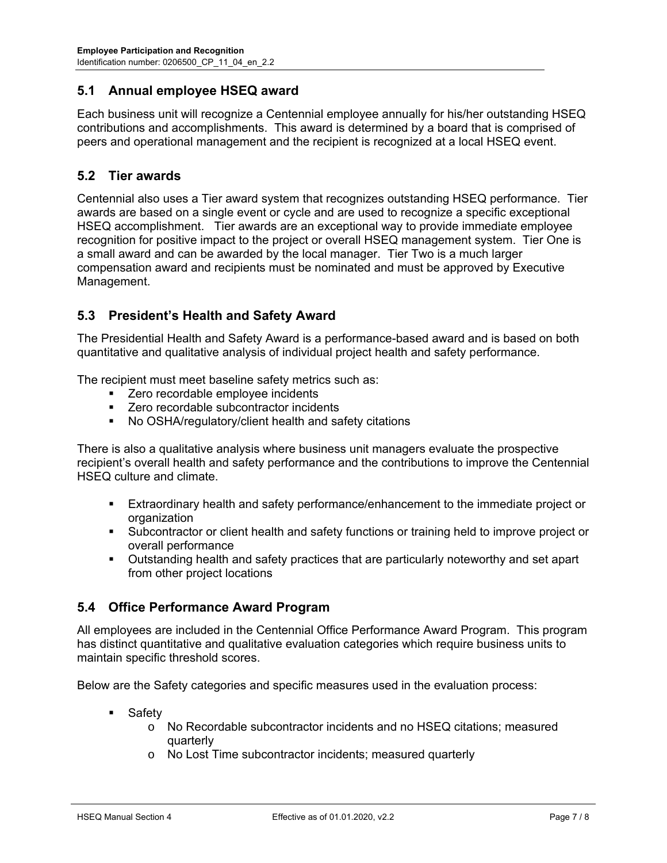#### **5.1 Annual employee HSEQ award**

Each business unit will recognize a Centennial employee annually for his/her outstanding HSEQ contributions and accomplishments. This award is determined by a board that is comprised of peers and operational management and the recipient is recognized at a local HSEQ event.

#### **5.2 Tier awards**

Centennial also uses a Tier award system that recognizes outstanding HSEQ performance. Tier awards are based on a single event or cycle and are used to recognize a specific exceptional HSEQ accomplishment. Tier awards are an exceptional way to provide immediate employee recognition for positive impact to the project or overall HSEQ management system. Tier One is a small award and can be awarded by the local manager. Tier Two is a much larger compensation award and recipients must be nominated and must be approved by Executive Management.

#### **5.3 President's Health and Safety Award**

The Presidential Health and Safety Award is a performance-based award and is based on both quantitative and qualitative analysis of individual project health and safety performance.

The recipient must meet baseline safety metrics such as:

- **EXECO** recordable employee incidents
- **EXECT:** Zero recordable subcontractor incidents
- No OSHA/regulatory/client health and safety citations

There is also a qualitative analysis where business unit managers evaluate the prospective recipient's overall health and safety performance and the contributions to improve the Centennial HSEQ culture and climate.

- Extraordinary health and safety performance/enhancement to the immediate project or organization
- Subcontractor or client health and safety functions or training held to improve project or overall performance
- Outstanding health and safety practices that are particularly noteworthy and set apart from other project locations

## **5.4 Office Performance Award Program**

All employees are included in the Centennial Office Performance Award Program. This program has distinct quantitative and qualitative evaluation categories which require business units to maintain specific threshold scores.

Below are the Safety categories and specific measures used in the evaluation process:

- **Safety** 
	- o No Recordable subcontractor incidents and no HSEQ citations; measured quarterly
	- o No Lost Time subcontractor incidents; measured quarterly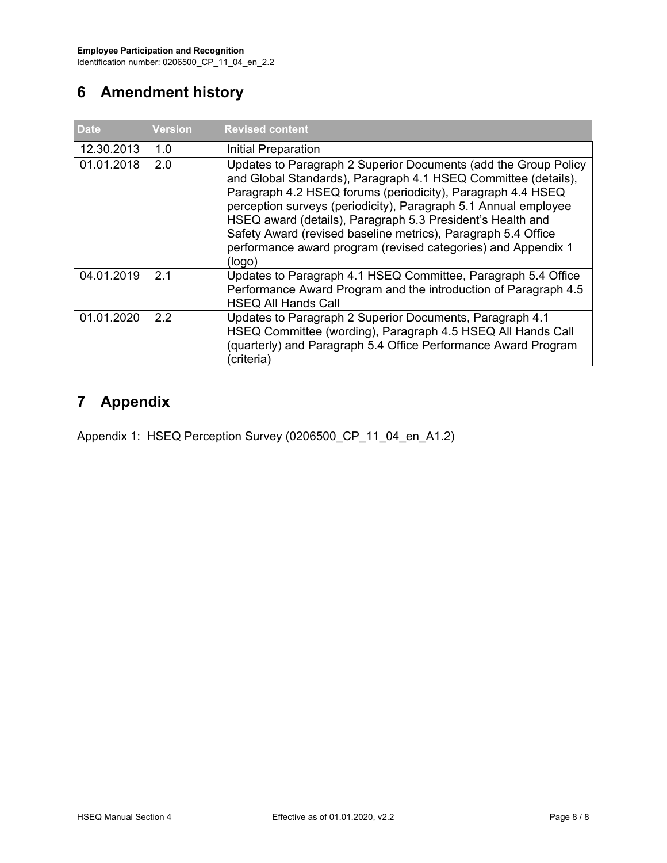# **6 Amendment history**

| <b>Date</b> | <b>Version</b> | <b>Revised content</b>                                                                                                                                                                                                                                                                                                                                                                                                                                                        |
|-------------|----------------|-------------------------------------------------------------------------------------------------------------------------------------------------------------------------------------------------------------------------------------------------------------------------------------------------------------------------------------------------------------------------------------------------------------------------------------------------------------------------------|
| 12.30.2013  | 1.0            | Initial Preparation                                                                                                                                                                                                                                                                                                                                                                                                                                                           |
| 01.01.2018  | 2.0            | Updates to Paragraph 2 Superior Documents (add the Group Policy<br>and Global Standards), Paragraph 4.1 HSEQ Committee (details),<br>Paragraph 4.2 HSEQ forums (periodicity), Paragraph 4.4 HSEQ<br>perception surveys (periodicity), Paragraph 5.1 Annual employee<br>HSEQ award (details), Paragraph 5.3 President's Health and<br>Safety Award (revised baseline metrics), Paragraph 5.4 Office<br>performance award program (revised categories) and Appendix 1<br>(logo) |
| 04.01.2019  | 2.1            | Updates to Paragraph 4.1 HSEQ Committee, Paragraph 5.4 Office<br>Performance Award Program and the introduction of Paragraph 4.5<br><b>HSEQ All Hands Call</b>                                                                                                                                                                                                                                                                                                                |
| 01.01.2020  | 22             | Updates to Paragraph 2 Superior Documents, Paragraph 4.1<br>HSEQ Committee (wording), Paragraph 4.5 HSEQ All Hands Call<br>(quarterly) and Paragraph 5.4 Office Performance Award Program<br>'criteria)                                                                                                                                                                                                                                                                       |

# **7 Appendix**

Appendix 1: HSEQ Perception Survey (0206500\_CP\_11\_04\_en\_A1.2)